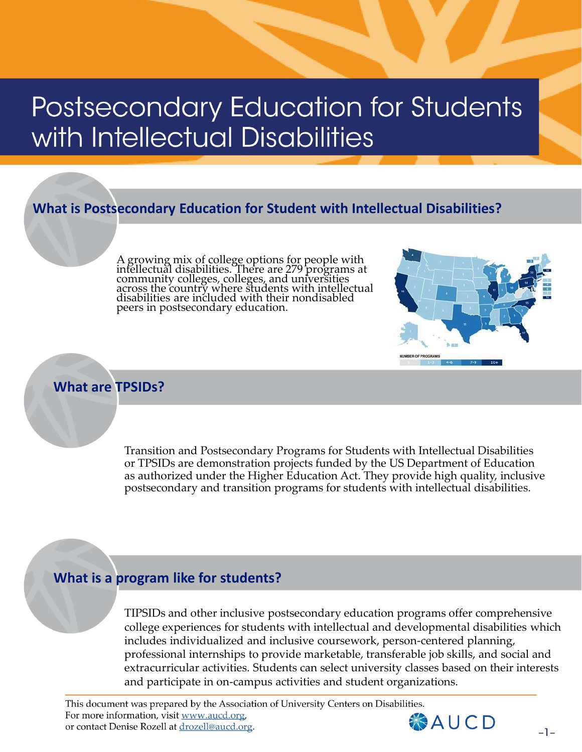# Postsecondary Education for Students with Intellectual Disabilities

### **What is Postsecondary Education for Student with Intellectual Disabilities?**

A growing mix of college options for people with intellectual disabilities. There are 279 programs at community colleges, colleges, and universities across the country where students with intellectual disabilities are included with their nondisabled peers in postsecondary education.



#### **What are TPSIDs?**

Transition and Postsecondary Programs for Students with Intellectual Disabilities or TPSIDs are demonstration projects funded by the US Department of Education as authorized under the Higher Education Act. They provide high quality, inclusive postsecondary and transition programs for students with intellectual disabilities.

#### **What is a program like for students?**

TIPSIDs and other inclusive postsecondary education programs offer comprehensive college experiences for students with intellectual and developmental disabilities which includes individualized and inclusive coursework, person-centered planning, professional internships to provide marketable, transferable job skills, and social and extracurricular activities. Students can select university classes based on their interests and participate in on-campus activities and student organizations.

This document was prepared by the Association of University Centers on Disabilities. For more information, visit www.aucd.org, or contact Denise Rozell at drozell@aucd.org.